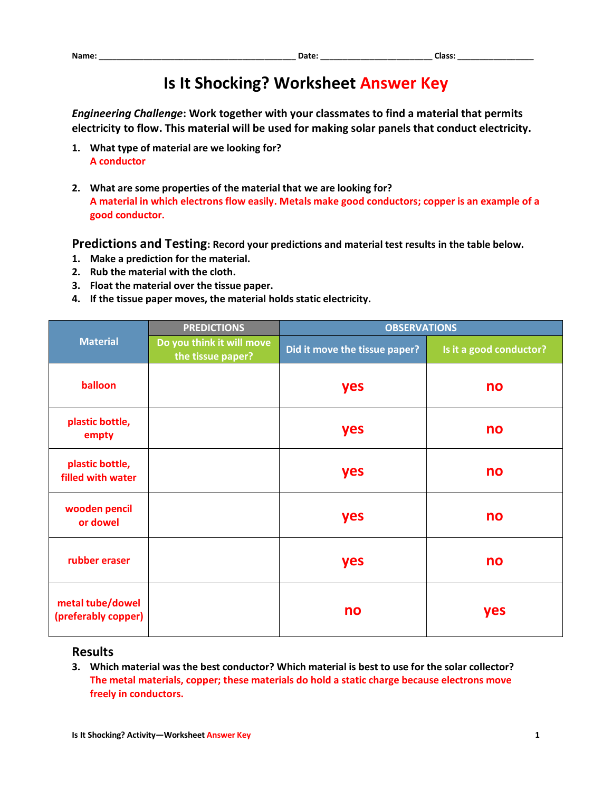## **Is It Shocking? Worksheet Answer Key**

*Engineering Challenge***: Work together with your classmates to find a material that permits electricity to flow. This material will be used for making solar panels that conduct electricity.**

- **1. What type of material are we looking for? A conductor**
- **2. What are some properties of the material that we are looking for? A material in which electrons flow easily. Metals make good conductors; copper is an example of a good conductor.**

**Predictions and Testing: Record your predictions and material test results in the table below.**

- **1. Make a prediction for the material.**
- **2. Rub the material with the cloth.**
- **3. Float the material over the tissue paper.**
- **4. If the tissue paper moves, the material holds static electricity.**

| <b>Material</b>                         | <b>PREDICTIONS</b>                             | <b>OBSERVATIONS</b>           |                         |
|-----------------------------------------|------------------------------------------------|-------------------------------|-------------------------|
|                                         | Do you think it will move<br>the tissue paper? | Did it move the tissue paper? | Is it a good conductor? |
| balloon                                 |                                                | yes                           | no                      |
| plastic bottle,<br>empty                |                                                | yes                           | no                      |
| plastic bottle,<br>filled with water    |                                                | yes                           | no                      |
| wooden pencil<br>or dowel               |                                                | yes                           | no                      |
| rubber eraser                           |                                                | yes                           | no                      |
| metal tube/dowel<br>(preferably copper) |                                                | no                            | yes                     |

## **Results**

**3. Which material was the best conductor? Which material is best to use for the solar collector? The metal materials, copper; these materials do hold a static charge because electrons move freely in conductors.**